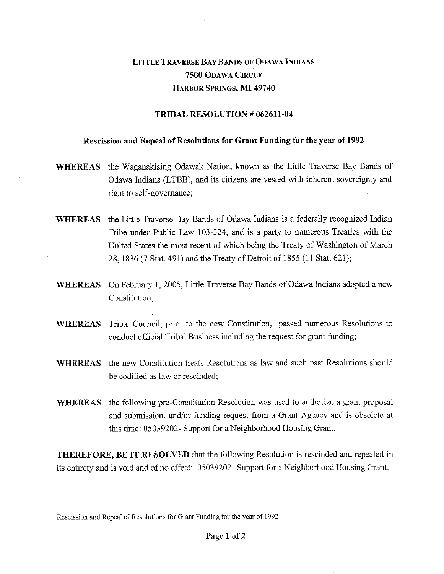## LITTLE TRAVERSE BAY BANDS OF ODAWA INDIANS 7500 ODAWA CIRCLE HARBOR SPRINGS, MI 49740

## TRIBAL RESOLUTION # 062611-04

## Rescission and Repeal of Resolutions for Grant Funding for the year of 1992

- WHEREAS the Waganakising Odawak Nation, known as the Little Traverse Bay Bands of Odawa Indians (LTBB), and its citizens are vested with inherent sovereignty and right to self-governance;
- WHEREAS the Little Traverse Bay Bands of Odawa Indians is a federally recognized Indian Tribe under Public Law 103-324, and is a party to numerous Treaties with the United States the most recent of which being the Treaty of Washington of March 28, 1836 (7 Stat. 491) and the Treaty of Detroit of 1855 (11 Stat. 621);
- WHEREAS On February 1, 2005, Little Traverse Bay Bands of Odawa Indians adopted a new Constitution;
- WHEREAS Tribal Council, prior to the new Constitution, passed numerous Resolutions to conduct official Tribal Business including the request for grant funding;
- WHEREAS the new Constitution treats Resolutions as law and such past Resolutions should be codified as law or rescinded;
- WHEREAS the following pre-Constitution Resolution was used to authorize a grant proposal and submission, and/or funding request from a Grant Agency and is obsolete at this time: 05039202- Support for a Neighborhood Housing Grant.

THEREFORE, BE IT RESOLVED that the following Resolution is rescinded and repealed in its entirety and is void and of no effect: 05039202- Support for a Neighborhood Housing Grant.